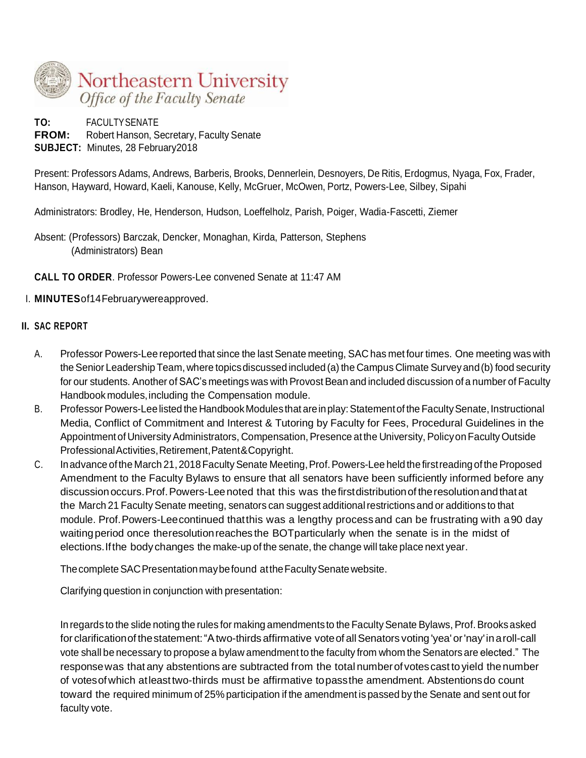

**TO:** FACULTYSENATE **FROM:** Robert Hanson, Secretary, Faculty Senate **SUBJECT:** Minutes, 28 February2018

Present: Professors Adams, Andrews, Barberis, Brooks, Dennerlein, Desnoyers, De Ritis, Erdogmus, Nyaga, Fox, Frader, Hanson, Hayward, Howard, Kaeli, Kanouse, Kelly, McGruer, McOwen, Portz, Powers-Lee, Silbey, Sipahi

Administrators: Brodley, He, Henderson, Hudson, Loeffelholz, Parish, Poiger, Wadia-Fascetti, Ziemer

Absent: (Professors) Barczak, Dencker, Monaghan, Kirda, Patterson, Stephens (Administrators) Bean

**CALL TO ORDER**. Professor Powers-Lee convened Senate at 11:47 AM

## I. **MINUTES**of14Februarywereapproved.

### **II. SAC REPORT**

- A. Professor Powers-Lee reported that since the last Senate meeting, SAC has met four times. One meeting was with the Senior Leadership Team, where topics discussed included (a) the Campus Climate Survey and (b) food security for our students. Another of SAC's meetings was with Provost Bean and included discussion of a number of Faculty Handbook modules, including the Compensation module.
- B. Professor Powers-Lee listed the Handbook Modules that are in play: Statement of the Faculty Senate, Instructional Media, Conflict of Commitment and Interest & Tutoring by Faculty for Fees, Procedural Guidelines in the Appointment of University Administrators, Compensation, Presence at the University, Policy on Faculty Outside Professional Activities, Retirement, Patent&Copyright.
- C. Inadvance of the March 21, 2018 Faculty Senate Meeting, Prof. Powers-Lee held the first reading of the Proposed Amendment to the Faculty Bylaws to ensure that all senators have been sufficiently informed before any discussionoccurs.Prof.Powers-Leenoted that this was thefirstdistributionof theresolutionandthatat the March 21 Faculty Senate meeting, senators can suggest additional restrictions and or additions to that module. Prof.Powers-Leecontinued thatthis was a lengthy processand can be frustrating with a90 day waitingperiod once theresolutionreaches the BOTparticularly when the senate is in the midst of elections.Ifthe bodychanges the make-up of the senate, the change will take place next year.

The complete SAC Presentation may be found at the Faculty Senate website.

Clarifying question in conjunction with presentation:

In regards to the slide noting the rules for making amendments to the Faculty Senate Bylaws, Prof. Brooks asked for clarification of the statement: "A two-thirds affirmative vote of all Senators voting 'yea' or 'nay' in a roll-call vote shall be necessary to propose a bylaw amendment to the faculty from whom the Senators are elected." The response was that any abstentions are subtracted from the total number of votes cast to yield the number of votesofwhich atleasttwo-thirds must be affirmative topassthe amendment. Abstentionsdo count toward the required minimum of 25% participation if the amendment is passed by the Senate and sent out for faculty vote.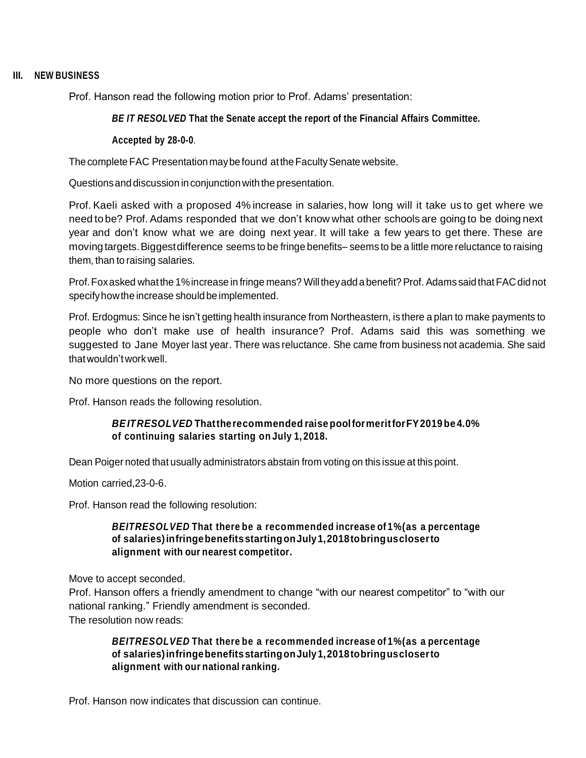### **III. NEW BUSINESS**

Prof. Hanson read the following motion prior to Prof. Adams' presentation:

### *BE IT RESOLVED* **That the Senate accept the report of the Financial Affairs Committee.**

#### **Accepted by 28-0-0**.

The complete FAC Presentation may be found at the Faculty Senate website.

Questions and discussion in conjunction with the presentation.

Prof. Kaeli asked with a proposed 4% increase in salaries, how long will it take us to get where we need to be? Prof.Adams responded that we don't know what other schools are going to be doing next year and don't know what we are doing next year. It will take a few years to get there. These are moving targets. Biggest difference seems to be fringe benefits– seems to be a little more reluctance to raising them, than to raising salaries.

Prof.Foxasked whatthe 1%increase in fringe means? Willtheyadd a benefit? Prof. Adams said that FACdid not specifyhowthe increase should be implemented.

Prof. Erdogmus: Since he isn't getting health insurance from Northeastern, is there a plan to make payments to people who don't make use of health insurance? Prof. Adams said this was something we suggested to Jane Moyer last year. There was reluctance. She came from business not academia. She said thatwouldn'tworkwell.

No more questions on the report.

Prof. Hanson reads the following resolution.

### *BEITRESOLVED* **Thattherecommended raisepoolformeritforFY2019be 4.0% of continuing salaries starting on July 1, 2018.**

Dean Poiger noted that usually administrators abstain from voting on this issue at this point.

Motion carried,23-0-6.

Prof. Hanson read the following resolution:

### *BEITRESOLVED* **That there be a recommended increase of 1%(as a percentage of salaries)infringebenefitsstartingonJuly1,2018tobringuscloserto alignment with our nearest competitor.**

Move to accept seconded.

Prof. Hanson offers a friendly amendment to change "with our nearest competitor" to "with our national ranking." Friendly amendment is seconded. The resolution now reads:

*BEITRESOLVED* **That there be a recommended increase of 1%(as a percentage of salaries)infringebenefitsstartingonJuly1,2018tobringuscloserto alignment with our national ranking.**

Prof. Hanson now indicates that discussion can continue.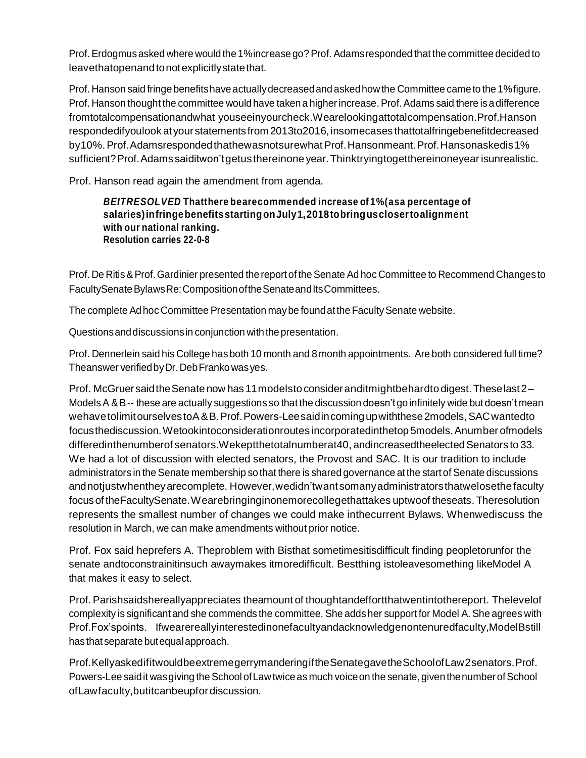Prof. Erdogmusasked where would the 1%increase go?Prof. Adamsresponded that the committee decided to leavethatopenandtonotexplicitlystatethat.

Prof. Hanson said fringe benefitshave actuallydecreasedand askedhowthe Committee came to the 1%figure. Prof. Hanson thought the committee would have taken a higher increase. Prof. Adams said there is a difference fromtotalcompensationandwhat youseeinyourcheck.Wearelookingattotalcompensation.Prof.Hanson respondedifyoulook atyourstatementsfrom 2013to2016,insomecases thattotalfringebenefitdecreased by10%. Prof. Adamsresponded thathewasnotsurewhat Prof. Hansonmeant. Prof. Hansonaskedis1% sufficient?Prof.Adamssaiditwon'tgetusthereinoneyear.Thinktryingtogetthereinoneyearisunrealistic.

Prof. Hanson read again the amendment from agenda.

#### *BEITRESOLVED* **Thatthere bearecommended increase of 1%(asa percentage of salaries)infringebenefitsstartingonJuly1,2018tobringusclosertoalignment with our national ranking. Resolution carries 22-0-8**

Prof. De Ritis & Prof. Gardinier presented the report of the Senate Ad hoc Committee to Recommend Changes to FacultySenateBylawsRe:Composition of the Senate and Its Committees.

The complete Ad hoc Committee Presentation may be found at the Faculty Senate website.

Questionsanddiscussionsin conjunction with the presentation.

Prof. Dennerlein said his College hasboth 10 month and 8 month appointments. Are both considered full time? Theanswer verifiedbyDr.DebFrankowasyes.

Prof. McGruersaidtheSenate now has11modelstoconsideranditmightbehardto digest.Theselast2– Models A & B-- these are actually suggestions so that the discussion doesn't go infinitely wide but doesn't mean wehavetolimitourselvestoA&B.Prof.Powers-Leesaidincomingupwiththese2models,SAC wantedto focusthediscussion.Wetookintoconsiderationroutes incorporatedinthetop 5models.Anumber ofmodels differedinthenumberof senators.Wekeptthetotalnumberat40, andincreasedtheelected Senators to 33. We had a lot of discussion with elected senators, the Provost and SAC. It is our tradition to include administrators in the Senate membership so that there is shared governance atthe startof Senate discussions andnotjustwhentheyarecomplete. However,wedidn'twantsomanyadministratorsthatwelosethe faculty focusof theFacultySenate.Wearebringinginonemorecollegethattakes uptwoof theseats. Theresolution represents the smallest number of changes we could make inthecurrent Bylaws. Whenwediscuss the resolution in March, we can make amendments without prior notice.

Prof. Fox said heprefers A. Theproblem with Bisthat sometimesitisdifficult finding peopletorunfor the senate andtoconstrainitinsuch awaymakes itmoredifficult. Bestthing istoleavesomething likeModel A that makes it easy to select.

Prof. Parishsaidshereallyappreciates theamount of thoughtandeffortthatwentintothereport. Thelevelof complexity is significantand she commends the committee. She addsher support for Model A. She agrees with Prof.Fox'spoints. Ifwearereallyinterestedinonefacultyandacknowledgenontenuredfaculty,ModelBstill hasthat separate butequalapproach.

Prof.KellyaskedifitwouldbeextremegerrymanderingiftheSenategavetheSchoolofLaw2senators.Prof. Powers-Lee said it was giving the School of Law twice as much voice on the senate, given the number of School ofLawfaculty,butitcanbeupfordiscussion.